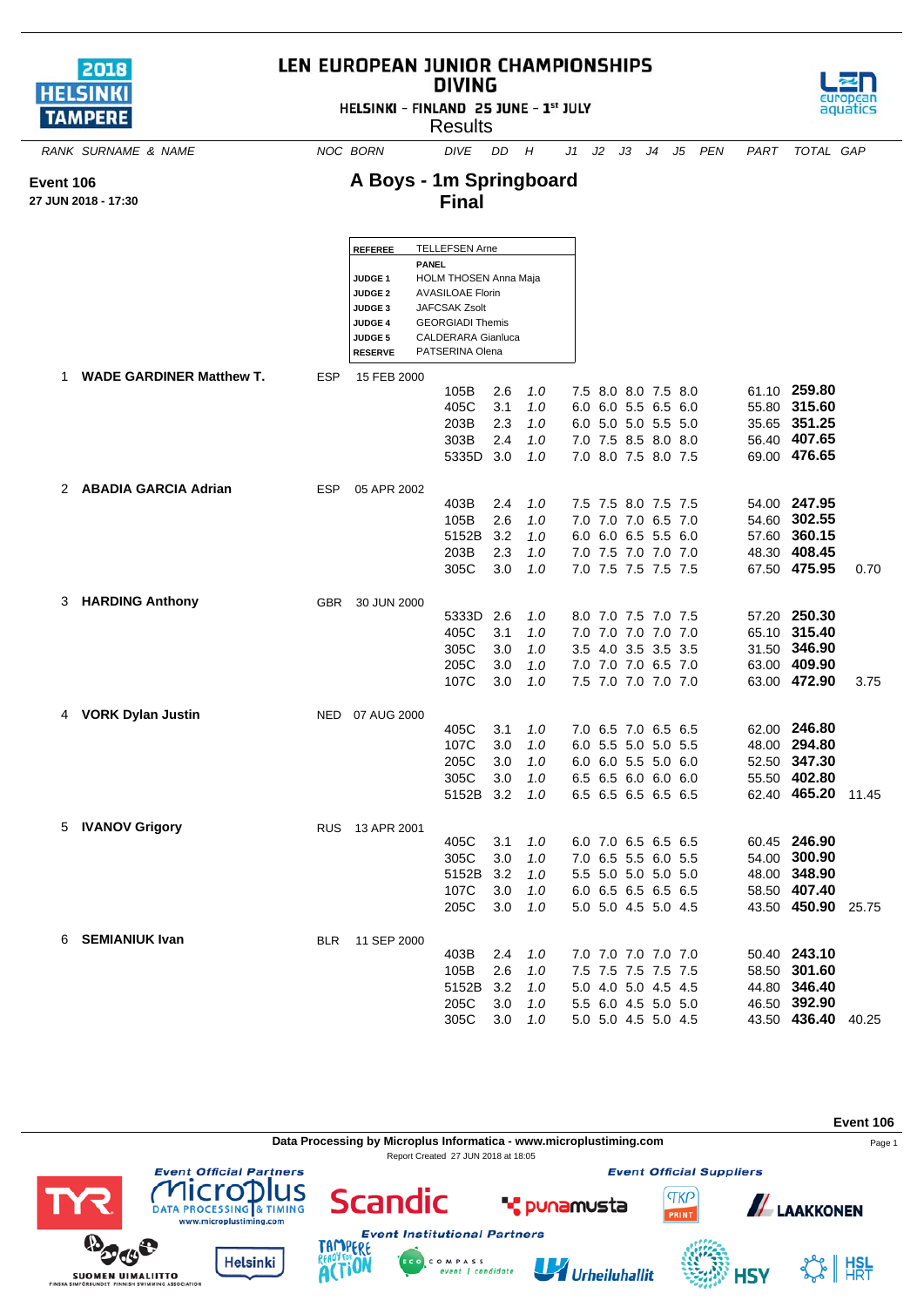| 2018             |
|------------------|
| <b>HELSINKI</b>  |
| <b>I TAMPERE</b> |

## LEN EUROPEAN JUNIOR CHAMPIONSHIPS **DIVING**

HELSINKI - FINLAND 25 JUNE - 1st JULY



**A Boys - 1m Springboard Final**

**SUOMEN UIMALIITTO** 

*RANK SURNAME & NAME NOC BORN DIVE DD H J1 J2 J3 J4 J5 PEN PART TOTAL GAP*

## **Event 106**

**27 JUN 2018 - 17:30**

|                            |            | <b>REFEREE</b>                   |              | <b>TELLEFSEN Arne</b>                           |            |            |  |                                            |  |                    |       |
|----------------------------|------------|----------------------------------|--------------|-------------------------------------------------|------------|------------|--|--------------------------------------------|--|--------------------|-------|
|                            |            |                                  | <b>PANEL</b> |                                                 |            |            |  |                                            |  |                    |       |
|                            |            | JUDGE <sub>1</sub>               |              | <b>HOLM THOSEN Anna Maja</b>                    |            |            |  |                                            |  |                    |       |
|                            |            | <b>JUDGE 2</b>                   |              | <b>AVASILOAE Florin</b>                         |            |            |  |                                            |  |                    |       |
|                            |            | <b>JUDGE 3</b>                   |              | <b>JAFCSAK Zsolt</b><br><b>GEORGIADI Themis</b> |            |            |  |                                            |  |                    |       |
|                            |            | <b>JUDGE 4</b><br><b>JUDGE 5</b> |              | <b>CALDERARA Gianluca</b>                       |            |            |  |                                            |  |                    |       |
|                            |            | <b>RESERVE</b>                   |              | PATSERINA Olena                                 |            |            |  |                                            |  |                    |       |
| 1 WADE GARDINER Matthew T. | <b>ESP</b> | 15 FEB 2000                      |              |                                                 |            |            |  |                                            |  |                    |       |
|                            |            |                                  |              | 105B                                            | 2.6        | 1.0        |  | 7.5 8.0 8.0 7.5 8.0                        |  | 61.10 259.80       |       |
|                            |            |                                  |              | 405C                                            | 3.1        | 1.0        |  | 6.0 6.0 5.5 6.5 6.0                        |  | 55.80 315.60       |       |
|                            |            |                                  |              | 203B                                            | 2.3        | 1.0        |  | 6.0 5.0 5.0 5.5 5.0                        |  | 35.65 351.25       |       |
|                            |            |                                  |              | 303B                                            | 2.4        | 1.0        |  | 7.0 7.5 8.5 8.0 8.0                        |  | 56.40 407.65       |       |
|                            |            |                                  |              | 5335D 3.0                                       |            | 1.0        |  | 7.0 8.0 7.5 8.0 7.5                        |  | 69.00 476.65       |       |
| 2 ABADIA GARCIA Adrian     | ESP        | 05 APR 2002                      |              |                                                 |            |            |  |                                            |  |                    |       |
|                            |            |                                  |              | 403B                                            | 2.4        | 1.0        |  | 7.5 7.5 8.0 7.5 7.5                        |  | 54.00 247.95       |       |
|                            |            |                                  |              | 105B                                            | 2.6        | 1.0        |  | 7.0 7.0 7.0 6.5 7.0                        |  | 54.60 302.55       |       |
|                            |            |                                  |              | 5152B                                           | 3.2        | 1.0        |  | 6.0 6.0 6.5 5.5 6.0                        |  | 57.60 360.15       |       |
|                            |            |                                  |              | 203B                                            | 2.3        | 1.0        |  | 7.0 7.5 7.0 7.0 7.0                        |  | 48.30 408.45       |       |
|                            |            |                                  |              | 305C                                            | 3.0        | 1.0        |  | 7.0 7.5 7.5 7.5 7.5                        |  | 67.50 475.95       | 0.70  |
|                            |            |                                  |              |                                                 |            |            |  |                                            |  |                    |       |
| 3 HARDING Anthony          | <b>GBR</b> | 30 JUN 2000                      |              | 5333D                                           | 2.6        | 1.0        |  | 8.0 7.0 7.5 7.0 7.5                        |  | 57.20 250.30       |       |
|                            |            |                                  |              | 405C                                            | 3.1        | 1.0        |  | 7.0 7.0 7.0 7.0 7.0                        |  | 65.10 315.40       |       |
|                            |            |                                  |              | 305C                                            | 3.0        | 1.0        |  | 3.5 4.0 3.5 3.5 3.5                        |  | 31.50 346.90       |       |
|                            |            |                                  |              | 205C                                            | 3.0        | 1.0        |  | 7.0 7.0 7.0 6.5 7.0                        |  | 63.00 409.90       |       |
|                            |            |                                  |              | 107C                                            | 3.0        | 1.0        |  | 7.5 7.0 7.0 7.0 7.0                        |  | 63.00 472.90       | 3.75  |
|                            |            |                                  |              |                                                 |            |            |  |                                            |  |                    |       |
| 4 VORK Dylan Justin        |            | NED 07 AUG 2000                  |              | 405C                                            | 3.1        | 1.0        |  | 7.0 6.5 7.0 6.5 6.5                        |  | 62.00 246.80       |       |
|                            |            |                                  |              | 107C                                            | 3.0        | 1.0        |  | 6.0 5.5 5.0 5.0 5.5                        |  | 48.00 294.80       |       |
|                            |            |                                  |              | 205C                                            | 3.0        | 1.0        |  | 6.0 6.0 5.5 5.0 6.0                        |  | 52.50 347.30       |       |
|                            |            |                                  |              | 305C                                            | 3.0        | 1.0        |  | 6.5 6.5 6.0 6.0 6.0                        |  | 55.50 402.80       |       |
|                            |            |                                  |              | 5152B                                           | 3.2        | 1.0        |  | 6.5 6.5 6.5 6.5 6.5                        |  | 62.40 465.20       | 11.45 |
|                            |            |                                  |              |                                                 |            |            |  |                                            |  |                    |       |
| 5 IVANOV Grigory           |            | RUS 13 APR 2001                  |              |                                                 |            |            |  |                                            |  | 60.45 246.90       |       |
|                            |            |                                  |              | 405C                                            | 3.1        | 1.0        |  | 6.0 7.0 6.5 6.5 6.5                        |  | 54.00 300.90       |       |
|                            |            |                                  |              | 305C<br>5152B                                   | 3.0<br>3.2 | 1.0<br>1.0 |  | 7.0 6.5 5.5 6.0 5.5<br>5.5 5.0 5.0 5.0 5.0 |  | 48.00 348.90       |       |
|                            |            |                                  |              | 107C                                            | 3.0        | 1.0        |  | 6.0 6.5 6.5 6.5 6.5                        |  | 58.50 407.40       |       |
|                            |            |                                  |              | 205C                                            | 3.0        | 1.0        |  | 5.0 5.0 4.5 5.0 4.5                        |  | 43.50 450.90 25.75 |       |
|                            |            |                                  |              |                                                 |            |            |  |                                            |  |                    |       |
| 6 SEMIANIUK Ivan           |            | BLR 11 SEP 2000                  |              |                                                 |            |            |  |                                            |  |                    |       |
|                            |            |                                  |              | 403B                                            | 2.4        | 1.0        |  | 7.0 7.0 7.0 7.0 7.0                        |  | 50.40 243.10       |       |
|                            |            |                                  |              | 105B                                            | 2.6        | 1.0        |  | 7.5 7.5 7.5 7.5 7.5                        |  | 58.50 301.60       |       |
|                            |            |                                  |              | 5152B                                           | -3.2       | 1.0        |  | 5.0 4.0 5.0 4.5 4.5                        |  | 44.80 346.40       |       |
|                            |            |                                  |              | 205C                                            | 3.0        | 1.0        |  | 5.5 6.0 4.5 5.0 5.0                        |  | 46.50 392.90       |       |
|                            |            |                                  |              | 305C                                            | 3.0        | 1.0        |  | 5.0 5.0 4.5 5.0 4.5                        |  | 43.50 436.40 40.25 |       |



Urheiluhallit



**4SY**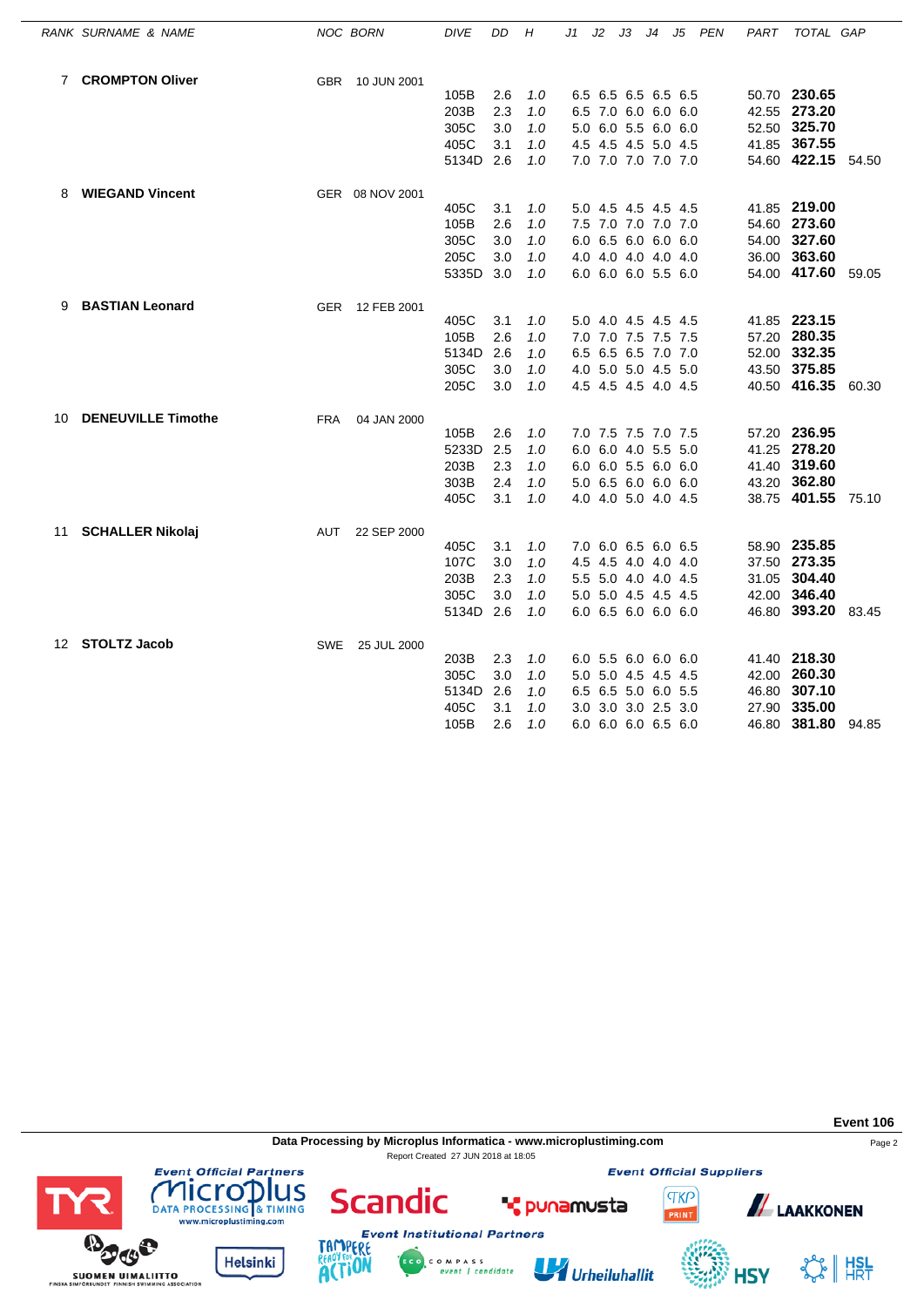|    | RANK SURNAME & NAME       |            | NOC BORN        | <b>DIVE</b> | DD  | Н   | J1 | J2 | JЗ                  | J4 | J5 | PEN | PART | TOTAL GAP          |       |
|----|---------------------------|------------|-----------------|-------------|-----|-----|----|----|---------------------|----|----|-----|------|--------------------|-------|
|    | 7 CROMPTON Oliver         | <b>GBR</b> | 10 JUN 2001     |             |     |     |    |    |                     |    |    |     |      |                    |       |
|    |                           |            |                 | 105B        | 2.6 | 1.0 |    |    | 6.5 6.5 6.5 6.5 6.5 |    |    |     |      | 50.70 230.65       |       |
|    |                           |            |                 | 203B        | 2.3 | 1.0 |    |    | 6.5 7.0 6.0 6.0 6.0 |    |    |     |      | 42.55 273.20       |       |
|    |                           |            |                 | 305C        | 3.0 | 1.0 |    |    | 5.0 6.0 5.5 6.0 6.0 |    |    |     |      | 52.50 325.70       |       |
|    |                           |            |                 | 405C        | 3.1 | 1.0 |    |    | 4.5 4.5 4.5 5.0 4.5 |    |    |     |      | 41.85 367.55       |       |
|    |                           |            |                 | 5134D       | 2.6 | 1.0 |    |    | 7.0 7.0 7.0 7.0 7.0 |    |    |     |      | 54.60 422.15 54.50 |       |
| 8  | <b>WIEGAND Vincent</b>    |            | GER 08 NOV 2001 |             |     |     |    |    |                     |    |    |     |      |                    |       |
|    |                           |            |                 | 405C        | 3.1 | 1.0 |    |    | 5.0 4.5 4.5 4.5 4.5 |    |    |     |      | 41.85 219.00       |       |
|    |                           |            |                 | 105B        | 2.6 | 1.0 |    |    | 7.5 7.0 7.0 7.0 7.0 |    |    |     |      | 54.60 273.60       |       |
|    |                           |            |                 | 305C        | 3.0 | 1.0 |    |    | 6.0 6.5 6.0 6.0 6.0 |    |    |     |      | 54.00 327.60       |       |
|    |                           |            |                 | 205C        | 3.0 | 1.0 |    |    | 4.0 4.0 4.0 4.0 4.0 |    |    |     |      | 36.00 363.60       |       |
|    |                           |            |                 | 5335D       | 3.0 | 1.0 |    |    | 6.0 6.0 6.0 5.5 6.0 |    |    |     |      | 54.00 417.60 59.05 |       |
| 9  | <b>BASTIAN Leonard</b>    |            | GER 12 FEB 2001 |             |     |     |    |    |                     |    |    |     |      |                    |       |
|    |                           |            |                 | 405C        | 3.1 | 1.0 |    |    | 5.0 4.0 4.5 4.5 4.5 |    |    |     |      | 41.85 223.15       |       |
|    |                           |            |                 | 105B        | 2.6 | 1.0 |    |    | 7.0 7.0 7.5 7.5 7.5 |    |    |     |      | 57.20 280.35       |       |
|    |                           |            |                 | 5134D       | 2.6 | 1.0 |    |    | 6.5 6.5 6.5 7.0 7.0 |    |    |     |      | 52.00 332.35       |       |
|    |                           |            |                 | 305C        | 3.0 | 1.0 |    |    | 4.0 5.0 5.0 4.5 5.0 |    |    |     |      | 43.50 375.85       |       |
|    |                           |            |                 | 205C        | 3.0 | 1.0 |    |    | 4.5 4.5 4.5 4.0 4.5 |    |    |     |      | 40.50 416.35 60.30 |       |
| 10 | <b>DENEUVILLE Timothe</b> | <b>FRA</b> | 04 JAN 2000     |             |     |     |    |    |                     |    |    |     |      |                    |       |
|    |                           |            |                 | 105B        | 2.6 | 1.0 |    |    | 7.0 7.5 7.5 7.0 7.5 |    |    |     |      | 57.20 236.95       |       |
|    |                           |            |                 | 5233D       | 2.5 | 1.0 |    |    | 6.0 6.0 4.0 5.5 5.0 |    |    |     |      | 41.25 278.20       |       |
|    |                           |            |                 | 203B        | 2.3 | 1.0 |    |    | 6.0 6.0 5.5 6.0 6.0 |    |    |     |      | 41.40 319.60       |       |
|    |                           |            |                 | 303B        | 2.4 | 1.0 |    |    | 5.0 6.5 6.0 6.0 6.0 |    |    |     |      | 43.20 362.80       |       |
|    |                           |            |                 | 405C        | 3.1 | 1.0 |    |    | 4.0 4.0 5.0 4.0 4.5 |    |    |     |      | 38.75 401.55 75.10 |       |
| 11 | <b>SCHALLER Nikolaj</b>   | AUT        | 22 SEP 2000     |             |     |     |    |    |                     |    |    |     |      |                    |       |
|    |                           |            |                 | 405C        | 3.1 | 1.0 |    |    | 7.0 6.0 6.5 6.0 6.5 |    |    |     |      | 58.90 235.85       |       |
|    |                           |            |                 | 107C        | 3.0 | 1.0 |    |    | 4.5 4.5 4.0 4.0 4.0 |    |    |     |      | 37.50 273.35       |       |
|    |                           |            |                 | 203B        | 2.3 | 1.0 |    |    | 5.5 5.0 4.0 4.0 4.5 |    |    |     |      | 31.05 304.40       |       |
|    |                           |            |                 | 305C        | 3.0 | 1.0 |    |    | 5.0 5.0 4.5 4.5 4.5 |    |    |     |      | 42.00 346.40       |       |
|    |                           |            |                 | 5134D 2.6   |     | 1.0 |    |    | 6.0 6.5 6.0 6.0 6.0 |    |    |     |      | 46.80 393.20 83.45 |       |
|    | 12 STOLTZ Jacob           |            | SWE 25 JUL 2000 |             |     |     |    |    |                     |    |    |     |      |                    |       |
|    |                           |            |                 | 203B        | 2.3 | 1.0 |    |    | 6.0 5.5 6.0 6.0 6.0 |    |    |     |      | 41.40 218.30       |       |
|    |                           |            |                 | 305C        | 3.0 | 1.0 |    |    | 5.0 5.0 4.5 4.5 4.5 |    |    |     |      | 42.00 260.30       |       |
|    |                           |            |                 | 5134D       | 2.6 | 1.0 |    |    | 6.5 6.5 5.0 6.0 5.5 |    |    |     |      | 46.80 307.10       |       |
|    |                           |            |                 | 405C        | 3.1 | 1.0 |    |    | 3.0 3.0 3.0 2.5 3.0 |    |    |     |      | 27.90 335.00       |       |
|    |                           |            |                 | 105B        | 2.6 | 1.0 |    |    | 6.0 6.0 6.0 6.5 6.0 |    |    |     |      | 46.80 381.80       | 94.85 |

**Data Processing by Microplus Informatica - www.microplustiming.com** Page 2 Report Created 27 JUN 2018 at 18:05

**Event Official Suppliers** 

**TKP** 







**Helsinki** 

**Scandic** 

Urheiluhallit

**T** punamusta



**ALAAKKONEN** 

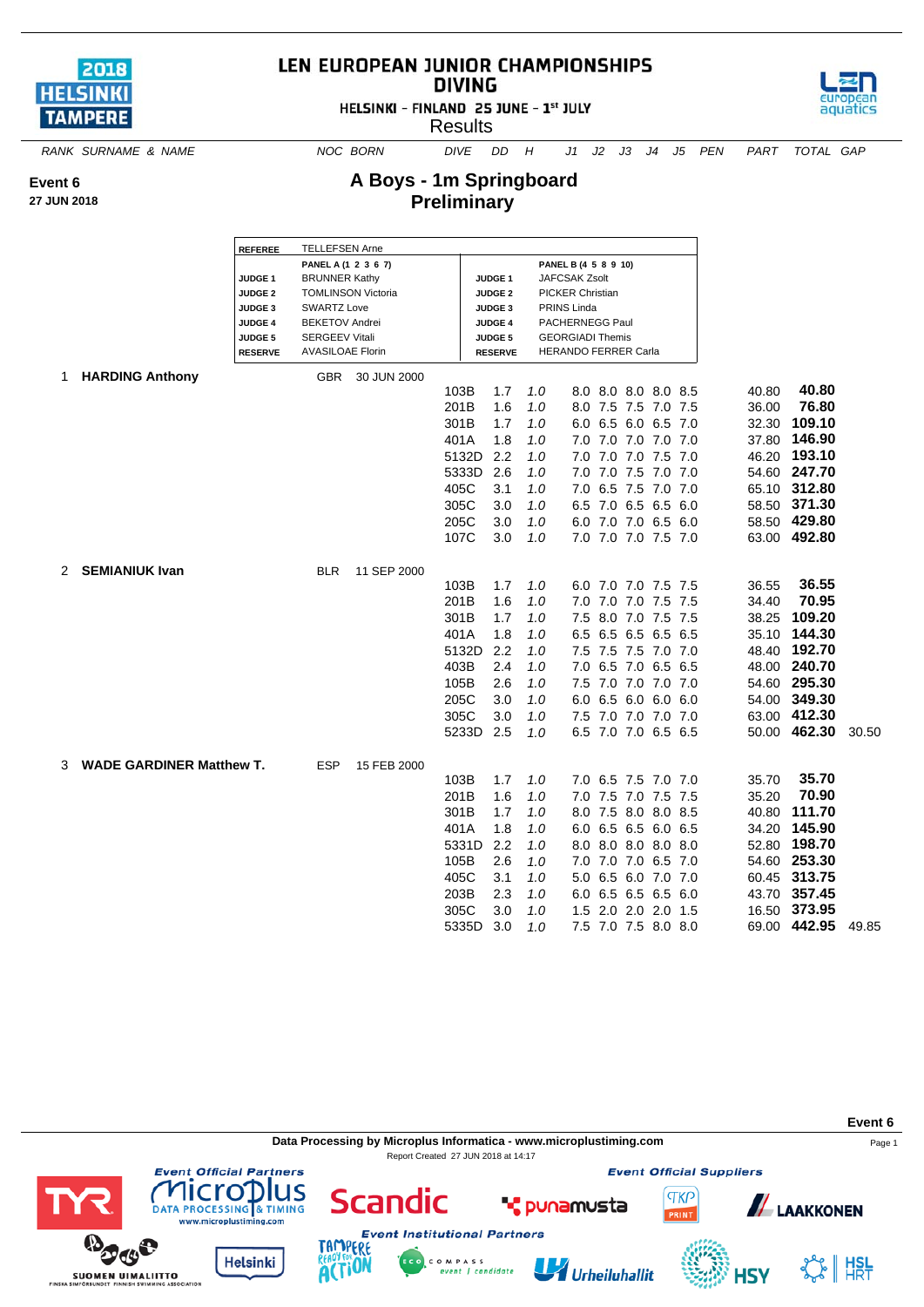

## LEN EUROPEAN JUNIOR CHAMPIONSHIPS **DIVING**



**A Boys - 1m Springboard Preliminary**



aquatics

*RANK SURNAME & NAME NOC BORN DIVE DD H J1 J2 J3 J4 J5 PEN PART TOTAL GAP*

**Event 6**

**27 JUN 2018**

|    |                                 | <b>REFEREE</b> | <b>TELLEFSEN Arne</b>   |                           |           |                    |     |                         |                     |         |       |              |       |
|----|---------------------------------|----------------|-------------------------|---------------------------|-----------|--------------------|-----|-------------------------|---------------------|---------|-------|--------------|-------|
|    |                                 |                | PANEL A (1 2 3 6 7)     |                           |           |                    |     | PANEL B (4 5 8 9 10)    |                     |         |       |              |       |
|    |                                 | <b>JUDGE 1</b> | <b>BRUNNER Kathy</b>    |                           |           | JUDGE <sub>1</sub> |     | JAFCSAK Zsolt           |                     |         |       |              |       |
|    |                                 | <b>JUDGE 2</b> |                         | <b>TOMLINSON Victoria</b> |           | <b>JUDGE 2</b>     |     | <b>PICKER Christian</b> |                     |         |       |              |       |
|    |                                 | <b>JUDGE 3</b> | <b>SWARTZ Love</b>      |                           |           | <b>JUDGE 3</b>     |     | PRINS Linda             |                     |         |       |              |       |
|    |                                 | JUDGE 4        | <b>BEKETOV Andrei</b>   |                           |           | <b>JUDGE 4</b>     |     | PACHERNEGG Paul         |                     |         |       |              |       |
|    |                                 | <b>JUDGE 5</b> | <b>SERGEEV Vitali</b>   |                           |           | <b>JUDGE 5</b>     |     | <b>GEORGIADI Themis</b> |                     |         |       |              |       |
|    |                                 | <b>RESERVE</b> | <b>AVASILOAE Florin</b> |                           |           | <b>RESERVE</b>     |     | HERANDO FERRER Carla    |                     |         |       |              |       |
| 1. | <b>HARDING Anthony</b>          |                | <b>GBR</b>              | 30 JUN 2000               |           |                    |     |                         |                     |         |       |              |       |
|    |                                 |                |                         |                           | 103B      | 1.7                | 1.0 |                         | 8.0 8.0 8.0 8.0 8.5 |         | 40.80 | 40.80        |       |
|    |                                 |                |                         |                           | 201B      | 1.6                | 1.0 |                         | 8.0 7.5 7.5 7.0 7.5 |         | 36.00 | 76.80        |       |
|    |                                 |                |                         |                           | 301B      | 1.7                | 1.0 |                         | 6.0 6.5 6.0 6.5 7.0 |         | 32.30 | 109.10       |       |
|    |                                 |                |                         |                           | 401A      | 1.8                | 1.0 |                         | 7.0 7.0 7.0 7.0 7.0 |         | 37.80 | 146.90       |       |
|    |                                 |                |                         |                           | 5132D     | 2.2                | 1.0 |                         | 7.0 7.0 7.0 7.5 7.0 |         |       | 46.20 193.10 |       |
|    |                                 |                |                         |                           | 5333D     | 2.6                | 1.0 |                         | 7.0 7.0 7.5 7.0 7.0 |         |       | 54.60 247.70 |       |
|    |                                 |                |                         |                           | 405C      | 3.1                | 1.0 |                         | 7.0 6.5 7.5 7.0 7.0 |         | 65.10 | 312.80       |       |
|    |                                 |                |                         |                           | 305C      | 3.0                | 1.0 |                         | 6.5 7.0 6.5 6.5 6.0 |         |       | 58.50 371.30 |       |
|    |                                 |                |                         |                           | 205C      | 3.0                | 1.0 |                         | 6.0 7.0 7.0 6.5 6.0 |         |       | 58.50 429.80 |       |
|    |                                 |                |                         |                           | 107C      | 3.0                | 1.0 |                         | 7.0 7.0 7.0 7.5 7.0 |         |       | 63.00 492.80 |       |
|    |                                 |                |                         |                           |           |                    |     |                         |                     |         |       |              |       |
|    | 2 SEMIANIUK Ivan                |                | <b>BLR</b>              | 11 SEP 2000               |           |                    |     |                         |                     |         |       |              |       |
|    |                                 |                |                         |                           | 103B      | 1.7                | 1.0 |                         | 6.0 7.0 7.0 7.5 7.5 |         | 36.55 | 36.55        |       |
|    |                                 |                |                         |                           | 201B      | 1.6                | 1.0 | 7.0                     | 7.0 7.0 7.5 7.5     |         | 34.40 | 70.95        |       |
|    |                                 |                |                         |                           | 301B      | 1.7                | 1.0 |                         | 7.5 8.0 7.0 7.5 7.5 |         | 38.25 | 109.20       |       |
|    |                                 |                |                         |                           | 401A      | 1.8                | 1.0 |                         | 6.5 6.5 6.5         | 6.5 6.5 | 35.10 | 144.30       |       |
|    |                                 |                |                         |                           | 5132D     | 2.2                | 1.0 |                         | 7.5 7.5 7.5 7.0 7.0 |         |       | 48.40 192.70 |       |
|    |                                 |                |                         |                           | 403B      | 2.4                | 1.0 |                         | 7.0 6.5 7.0 6.5 6.5 |         |       | 48.00 240.70 |       |
|    |                                 |                |                         |                           | 105B      | 2.6                | 1.0 |                         | 7.5 7.0 7.0 7.0 7.0 |         |       | 54.60 295.30 |       |
|    |                                 |                |                         |                           | 205C      | 3.0                | 1.0 |                         | 6.0 6.5 6.0         | 6.0 6.0 | 54.00 | 349.30       |       |
|    |                                 |                |                         |                           | 305C      | 3.0                | 1.0 |                         | 7.5 7.0 7.0 7.0 7.0 |         |       | 63.00 412.30 |       |
|    |                                 |                |                         |                           | 5233D 2.5 |                    | 1.0 |                         | 6.5 7.0 7.0 6.5 6.5 |         |       | 50.00 462.30 | 30.50 |
|    |                                 |                |                         |                           |           |                    |     |                         |                     |         |       |              |       |
| 3  | <b>WADE GARDINER Matthew T.</b> |                | ESP                     | 15 FEB 2000               |           |                    |     |                         |                     |         |       |              |       |
|    |                                 |                |                         |                           | 103B      | 1.7                | 1.0 |                         | 7.0 6.5 7.5 7.0 7.0 |         | 35.70 | 35.70        |       |
|    |                                 |                |                         |                           | 201B      | 1.6                | 1.0 |                         | 7.0 7.5 7.0 7.5 7.5 |         | 35.20 | 70.90        |       |
|    |                                 |                |                         |                           | 301B      | 1.7                | 1.0 |                         | 8.0 7.5 8.0 8.0 8.5 |         | 40.80 | 111.70       |       |
|    |                                 |                |                         |                           | 401A      | 1.8                | 1.0 |                         | 6.0 6.5 6.5 6.0 6.5 |         | 34.20 | 145.90       |       |
|    |                                 |                |                         |                           | 5331D     | 2.2                | 1.0 |                         | 8.0 8.0 8.0 8.0 8.0 |         |       | 52.80 198.70 |       |
|    |                                 |                |                         |                           | 105B      | 2.6                | 1.0 |                         | 7.0 7.0 7.0 6.5 7.0 |         |       | 54.60 253.30 |       |
|    |                                 |                |                         |                           | 405C      | 3.1                | 1.0 |                         | 5.0 6.5 6.0 7.0 7.0 |         |       | 60.45 313.75 |       |
|    |                                 |                |                         |                           | 203B      | 2.3                | 1.0 |                         | 6.0 6.5 6.5 6.5 6.0 |         | 43.70 | 357.45       |       |
|    |                                 |                |                         |                           | 305C      | 3.0                | 1.0 |                         | 1.5 2.0 2.0 2.0 1.5 |         | 16.50 | 373.95       |       |
|    |                                 |                |                         |                           | 5335D     | 3.0                | 1.0 |                         | 7.5 7.0 7.5 8.0 8.0 |         |       | 69.00 442.95 | 49.85 |

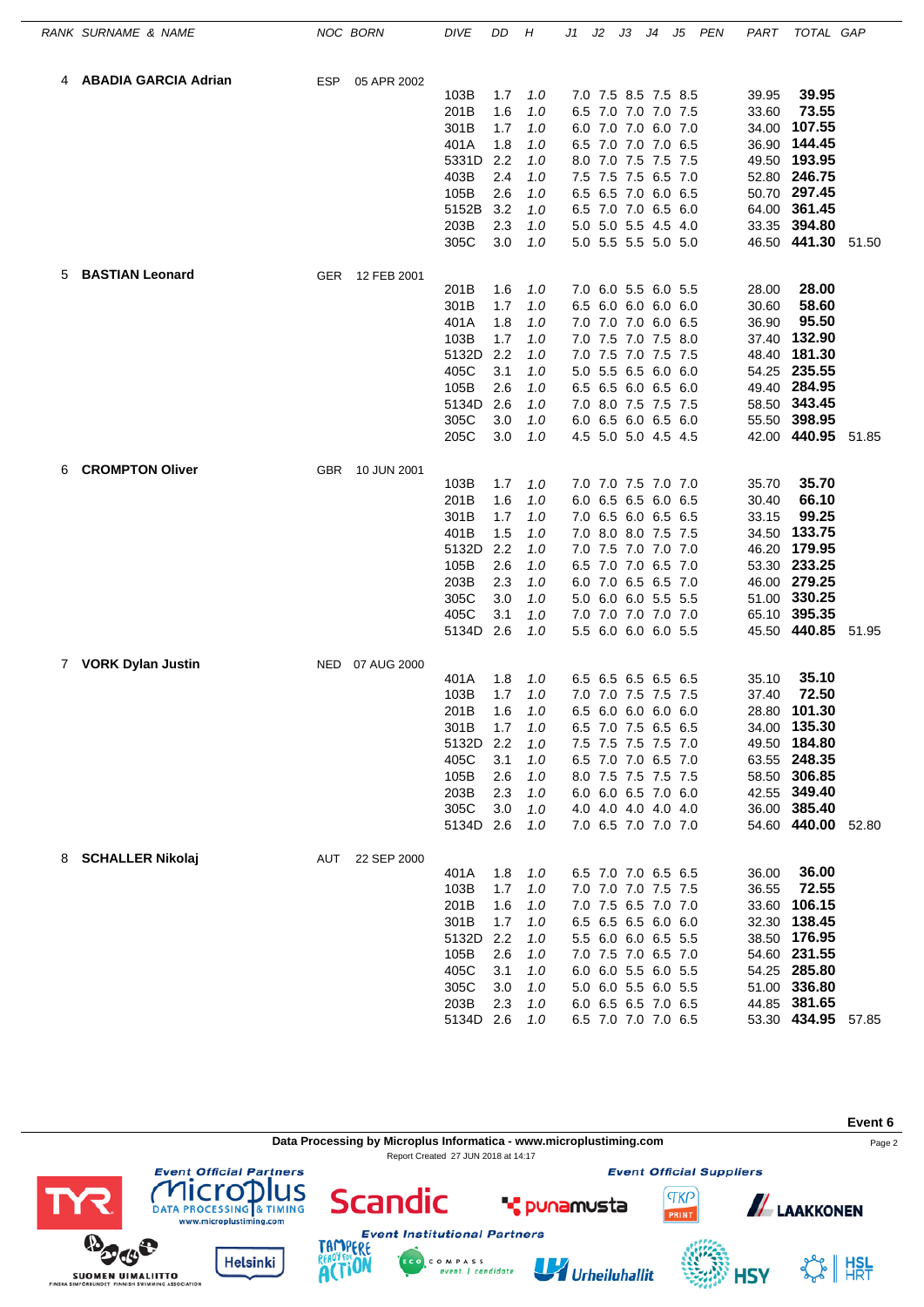|   | RANK SURNAME & NAME         |            | NOC BORN    | DIVE          | DD         | Н          | J1  | J2 | JЗ                                         | J4 | J5  | <b>PEN</b> | PART           | TOTAL GAP              |       |
|---|-----------------------------|------------|-------------|---------------|------------|------------|-----|----|--------------------------------------------|----|-----|------------|----------------|------------------------|-------|
|   | <b>ABADIA GARCIA Adrian</b> | ESP        | 05 APR 2002 |               |            |            |     |    |                                            |    |     |            |                |                        |       |
|   |                             |            |             | 103B          | 1.7        | 1.0        |     |    | 7.0 7.5 8.5 7.5 8.5                        |    |     |            | 39.95          | 39.95                  |       |
|   |                             |            |             | 201B          | 1.6        | 1.0        |     |    | 6.5 7.0 7.0 7.0 7.5                        |    |     |            | 33.60          | 73.55                  |       |
|   |                             |            |             | 301B          | 1.7        | 1.0        |     |    | 6.0 7.0 7.0 6.0 7.0                        |    |     |            | 34.00          | 107.55                 |       |
|   |                             |            |             | 401A          | 1.8        | 1.0        |     |    | 6.5 7.0 7.0 7.0 6.5                        |    |     |            | 36.90          | 144.45                 |       |
|   |                             |            |             | 5331D         | 2.2        | 1.0        |     |    | 8.0 7.0 7.5 7.5 7.5                        |    |     |            | 49.50          | 193.95                 |       |
|   |                             |            |             | 403B          | 2.4        | 1.0        |     |    | 7.5 7.5 7.5 6.5 7.0                        |    |     |            |                | 52.80 246.75           |       |
|   |                             |            |             | 105B          | 2.6        | 1.0        | 6.5 |    | 6.5 7.0 6.0 6.5                            |    |     |            | 50.70          | 297.45                 |       |
|   |                             |            |             | 5152B         | 3.2        | 1.0        |     |    | 6.5 7.0 7.0 6.5 6.0                        |    |     |            | 64.00          | 361.45                 |       |
|   |                             |            |             | 203B<br>305C  | 2.3<br>3.0 | 1.0<br>1.0 |     |    | 5.0 5.0 5.5 4.5 4.0<br>5.0 5.5 5.5 5.0 5.0 |    |     |            | 33.35          | 394.80<br>46.50 441.30 | 51.50 |
| 5 | <b>BASTIAN Leonard</b>      | <b>GER</b> | 12 FEB 2001 |               |            |            |     |    |                                            |    |     |            |                |                        |       |
|   |                             |            |             | 201B          | 1.6        | 1.0        |     |    | 7.0 6.0 5.5 6.0 5.5                        |    |     |            | 28.00          | 28.00                  |       |
|   |                             |            |             | 301B          | 1.7        | 1.0        | 6.5 |    | 6.0 6.0 6.0 6.0                            |    |     |            | 30.60          | 58.60                  |       |
|   |                             |            |             | 401A          | 1.8        | 1.0        |     |    | 7.0 7.0 7.0 6.0 6.5                        |    |     |            | 36.90          | 95.50                  |       |
|   |                             |            |             | 103B          | 1.7        | 1.0        |     |    | 7.0 7.5 7.0 7.5 8.0                        |    |     |            | 37.40          | 132.90                 |       |
|   |                             |            |             | 5132D         | 2.2        | 1.0        |     |    | 7.0 7.5 7.0 7.5 7.5                        |    |     |            | 48.40          | 181.30                 |       |
|   |                             |            |             | 405C          | 3.1        | 1.0        |     |    | 5.0 5.5 6.5 6.0 6.0                        |    |     |            | 54.25          | 235.55                 |       |
|   |                             |            |             | 105B          | 2.6        | 1.0        | 6.5 |    | 6.5 6.0 6.5                                |    | 6.0 |            | 49.40          | 284.95                 |       |
|   |                             |            |             | 5134D         | 2.6        | 1.0        |     |    | 7.0 8.0 7.5 7.5 7.5                        |    |     |            | 58.50          | 343.45                 |       |
|   |                             |            |             | 305C          | 3.0        | 1.0        |     |    | 6.0 6.5 6.0 6.5 6.0                        |    |     |            | 55.50          | 398.95                 |       |
|   |                             |            |             | 205C          | 3.0        | 1.0        |     |    | 4.5 5.0 5.0 4.5 4.5                        |    |     |            | 42.00          | 440.95                 | 51.85 |
| 6 | <b>CROMPTON Oliver</b>      | <b>GBR</b> | 10 JUN 2001 |               |            |            |     |    |                                            |    |     |            |                |                        |       |
|   |                             |            |             | 103B          | 1.7        | 1.0        |     |    | 7.0 7.0 7.5 7.0 7.0                        |    |     |            | 35.70          | 35.70                  |       |
|   |                             |            |             | 201B          | 1.6        | 1.0        |     |    | 6.0 6.5 6.5 6.0 6.5                        |    |     |            | 30.40          | 66.10<br>99.25         |       |
|   |                             |            |             | 301B          | 1.7        | 1.0        |     |    | 7.0 6.5 6.0 6.5 6.5                        |    |     |            | 33.15          |                        |       |
|   |                             |            |             | 401B          | 1.5<br>2.2 | 1.0        |     |    | 7.0 8.0 8.0 7.5 7.5                        |    |     |            | 34.50          | 133.75<br>179.95       |       |
|   |                             |            |             | 5132D<br>105B | 2.6        | 1.0        |     |    | 7.0 7.5 7.0 7.0 7.0                        |    |     |            | 46.20          | 233.25                 |       |
|   |                             |            |             | 203B          | 2.3        | 1.0<br>1.0 | 6.5 |    | 7.0 7.0 6.5 7.0<br>6.0 7.0 6.5 6.5 7.0     |    |     |            | 53.30          | 46.00 279.25           |       |
|   |                             |            |             | 305C          | 3.0        | 1.0        |     |    | 5.0 6.0 6.0 5.5 5.5                        |    |     |            | 51.00          | 330.25                 |       |
|   |                             |            |             | 405C          | 3.1        | 1.0        |     |    | 7.0 7.0 7.0 7.0 7.0                        |    |     |            | 65.10          | 395.35                 |       |
|   |                             |            |             | 5134D         | 2.6        | 1.0        |     |    | 5.5 6.0 6.0 6.0 5.5                        |    |     |            | 45.50          | 440.85                 | 51.95 |
| 7 | <b>VORK Dylan Justin</b>    | NED        | 07 AUG 2000 |               |            |            |     |    |                                            |    |     |            |                |                        |       |
|   |                             |            |             | 401A          | 1.8        | 1.0        |     |    | 6.5 6.5 6.5 6.5 6.5                        |    |     |            | 35.10          | 35.10                  |       |
|   |                             |            |             | 103B          | 1.7        | 1.0        |     |    | 7.0 7.0 7.5 7.5                            |    | 7.5 |            | 37.40          | 72.50                  |       |
|   |                             |            |             | 201B          | 1.6        | 1.0        |     |    | 6.5 6.0 6.0 6.0 6.0                        |    |     |            | 28.80          | 101.30                 |       |
|   |                             |            |             | 301B          | 1.7        | 1.0        |     |    | 6.5 7.0 7.5 6.5 6.5                        |    |     |            |                | 34.00 135.30           |       |
|   |                             |            |             | 5132D         | 2.2        | 1.0        |     |    | 7.5 7.5 7.5 7.5 7.0                        |    |     |            |                | 49.50 184.80           |       |
|   |                             |            |             | 405C          | 3.1        | 1.0        |     |    | 6.5 7.0 7.0 6.5 7.0                        |    |     |            |                | 63.55 248.35           |       |
|   |                             |            |             | 105B          | 2.6        | 1.0        |     |    | 8.0 7.5 7.5 7.5 7.5                        |    |     |            |                | 58.50 306.85           |       |
|   |                             |            |             | 203B          | 2.3        | 1.0        |     |    | 6.0 6.0 6.5 7.0 6.0                        |    |     |            |                | 42.55 349.40           |       |
|   |                             |            |             | 305C          | 3.0        | 1.0        |     |    | 4.0 4.0 4.0 4.0 4.0                        |    |     |            |                | 36.00 385.40           |       |
|   |                             |            |             | 5134D 2.6     |            | 1.0        |     |    | 7.0 6.5 7.0 7.0 7.0                        |    |     |            |                | 54.60 440.00 52.80     |       |
| 8 | <b>SCHALLER Nikolaj</b>     | AUT        | 22 SEP 2000 |               |            |            |     |    |                                            |    |     |            |                | 36.00                  |       |
|   |                             |            |             | 401A<br>103B  | 1.8<br>1.7 | 1.0<br>1.0 |     |    | 6.5 7.0 7.0 6.5 6.5<br>7.0 7.0 7.0 7.5 7.5 |    |     |            | 36.00<br>36.55 | 72.55                  |       |
|   |                             |            |             | 201B          | 1.6        | 1.0        |     |    | 7.0 7.5 6.5 7.0 7.0                        |    |     |            | 33.60          | 106.15                 |       |
|   |                             |            |             | 301B          | 1.7        | 1.0        |     |    | 6.5 6.5 6.5 6.0 6.0                        |    |     |            |                | 32.30 138.45           |       |
|   |                             |            |             | 5132D         | 2.2        | 1.0        |     |    | 5.5 6.0 6.0 6.5 5.5                        |    |     |            |                | 38.50 176.95           |       |
|   |                             |            |             | 105B          | 2.6        | 1.0        |     |    | 7.0 7.5 7.0 6.5 7.0                        |    |     |            |                | 54.60 231.55           |       |
|   |                             |            |             | 405C          | 3.1        | 1.0        |     |    | 6.0 6.0 5.5 6.0 5.5                        |    |     |            |                | 54.25 285.80           |       |
|   |                             |            |             | 305C          | 3.0        | 1.0        |     |    | 5.0 6.0 5.5 6.0 5.5                        |    |     |            |                | 51.00 336.80           |       |
|   |                             |            |             | 203B          | 2.3        | 1.0        |     |    | 6.0 6.5 6.5 7.0 6.5                        |    |     |            |                | 44.85 381.65           |       |
|   |                             |            |             | 5134D 2.6     |            | 1.0        |     |    | 6.5 7.0 7.0 7.0 6.5                        |    |     |            |                | 53.30 434.95 57.85     |       |

**Data Processing by Microplus Informatica - www.microplustiming.com** Page 2

C O M P A S S<br>event | candidate

Report Created 27 JUN 2018 at 14:17

**Event 6**

**Event Official Suppliers** 

Urheiluhallit



**HSY** 



**COMPLETED**<br>DATA PROCESSING & TIMING<br>www.microplustiming.com **BOOS** 



**Helsinki** 



**Scandic**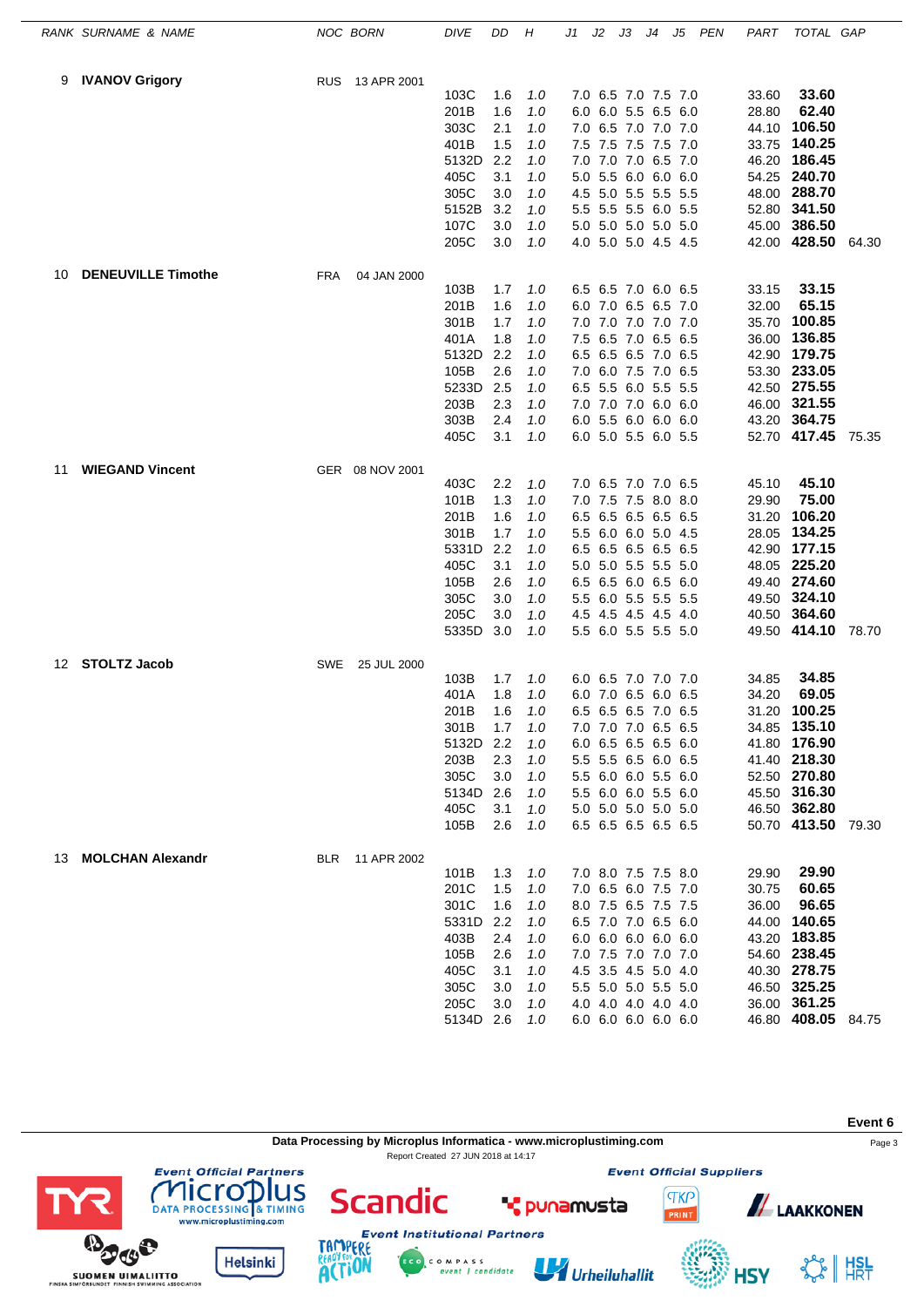|    | RANK SURNAME & NAME       |            | NOC BORN        | <b>DIVE</b>       | DD         | Н          | J1  | J2                                         | JЗ              | J4 | J5  | <b>PEN</b> | PART  | TOTAL GAP                    |       |
|----|---------------------------|------------|-----------------|-------------------|------------|------------|-----|--------------------------------------------|-----------------|----|-----|------------|-------|------------------------------|-------|
| 9  | <b>IVANOV Grigory</b>     | <b>RUS</b> | 13 APR 2001     |                   |            |            |     |                                            |                 |    |     |            |       |                              |       |
|    |                           |            |                 | 103C              | 1.6        | 1.0        |     | 7.0 6.5 7.0 7.5 7.0                        |                 |    |     |            | 33.60 | 33.60                        |       |
|    |                           |            |                 | 201B              | 1.6        | 1.0        |     | 6.0 6.0 5.5 6.5 6.0                        |                 |    |     |            | 28.80 | 62.40                        |       |
|    |                           |            |                 | 303C              | 2.1        | 1.0        |     | 7.0 6.5 7.0 7.0 7.0                        |                 |    |     |            | 44.10 | 106.50                       |       |
|    |                           |            |                 | 401B              | 1.5        | 1.0        |     | 7.5 7.5 7.5 7.5 7.0                        |                 |    |     |            | 33.75 | 140.25                       |       |
|    |                           |            |                 | 5132D             | 2.2        | 1.0        |     | 7.0 7.0 7.0 6.5 7.0                        |                 |    |     |            | 46.20 | 186.45                       |       |
|    |                           |            |                 | 405C              | 3.1        | 1.0        |     | 5.0 5.5 6.0 6.0 6.0                        |                 |    |     |            |       | 54.25 240.70                 |       |
|    |                           |            |                 | 305C              | 3.0        | 1.0        |     | 4.5 5.0 5.5 5.5 5.5                        |                 |    |     |            | 48.00 | 288.70                       |       |
|    |                           |            |                 | 5152B             | 3.2        | 1.0        |     | 5.5 5.5 5.5 6.0 5.5                        |                 |    |     |            | 52.80 | 341.50                       |       |
|    |                           |            |                 | 107C<br>205C      | 3.0<br>3.0 | 1.0<br>1.0 |     | 5.0 5.0 5.0 5.0 5.0<br>4.0 5.0 5.0 4.5 4.5 |                 |    |     |            | 45.00 | 386.50<br>42.00 428.50       | 64.30 |
| 10 | <b>DENEUVILLE Timothe</b> | <b>FRA</b> | 04 JAN 2000     |                   |            |            |     |                                            |                 |    |     |            |       |                              |       |
|    |                           |            |                 | 103B              | 1.7        | 1.0        |     | 6.5 6.5 7.0 6.0 6.5                        |                 |    |     |            | 33.15 | 33.15                        |       |
|    |                           |            |                 | 201B              | 1.6        | 1.0        |     | 6.0 7.0 6.5 6.5 7.0                        |                 |    |     |            | 32.00 | 65.15                        |       |
|    |                           |            |                 | 301B              | 1.7        | 1.0        |     | 7.0 7.0 7.0 7.0 7.0                        |                 |    |     |            | 35.70 | 100.85                       |       |
|    |                           |            |                 | 401A              | 1.8        | 1.0        |     | 7.5 6.5 7.0 6.5 6.5                        |                 |    |     |            | 36.00 | 136.85                       |       |
|    |                           |            |                 | 5132D             | 2.2        | 1.0        |     | 6.5 6.5 6.5 7.0 6.5                        |                 |    |     |            | 42.90 | 179.75                       |       |
|    |                           |            |                 | 105B              | 2.6        | 1.0        |     | 7.0 6.0 7.5 7.0 6.5                        |                 |    |     |            | 53.30 | 233.05                       |       |
|    |                           |            |                 | 5233D             | 2.5        | 1.0        | 6.5 |                                            | 5.5 6.0 5.5 5.5 |    |     |            |       | 42.50 275.55                 |       |
|    |                           |            |                 | 203B              | 2.3        | 1.0        |     | 7.0 7.0 7.0 6.0 6.0                        |                 |    |     |            |       | 46.00 321.55                 |       |
|    |                           |            |                 | 303B              | 2.4        | 1.0        |     | 6.0 5.5 6.0 6.0 6.0                        |                 |    |     |            | 43.20 | 364.75                       |       |
|    |                           |            |                 | 405C              | 3.1        | 1.0        |     | 6.0 5.0 5.5 6.0 5.5                        |                 |    |     |            | 52.70 | 417.45                       | 75.35 |
| 11 | <b>WIEGAND Vincent</b>    |            | GER 08 NOV 2001 |                   |            |            |     |                                            |                 |    |     |            |       |                              |       |
|    |                           |            |                 | 403C              | 2.2        | 1.0        |     | 7.0 6.5 7.0 7.0 6.5                        |                 |    |     |            | 45.10 | 45.10                        |       |
|    |                           |            |                 | 101B              | 1.3        | 1.0        |     | 7.0 7.5 7.5 8.0 8.0                        |                 |    |     |            | 29.90 | 75.00<br>106.20              |       |
|    |                           |            |                 | 201B              | 1.6        | 1.0        |     | 6.5 6.5 6.5 6.5 6.5                        |                 |    |     |            | 31.20 |                              |       |
|    |                           |            |                 | 301B              | 1.7        | 1.0        |     | 5.5 6.0 6.0 5.0 4.5                        |                 |    |     |            | 28.05 | 134.25                       |       |
|    |                           |            |                 | 5331D<br>405C     | 2.2<br>3.1 | 1.0        |     | 6.5 6.5 6.5 6.5 6.5                        |                 |    |     |            | 42.90 | 177.15<br>225.20             |       |
|    |                           |            |                 | 105B              | 2.6        | 1.0<br>1.0 |     | 5.0 5.0 5.5 5.5 5.0<br>6.5 6.5 6.0 6.5 6.0 |                 |    |     |            | 48.05 | 49.40 274.60                 |       |
|    |                           |            |                 | 305C              | 3.0        | 1.0        |     | 5.5 6.0 5.5 5.5 5.5                        |                 |    |     |            | 49.50 | 324.10                       |       |
|    |                           |            |                 | 205C              | 3.0        | 1.0        |     | 4.5 4.5 4.5 4.5 4.0                        |                 |    |     |            | 40.50 | 364.60                       |       |
|    |                           |            |                 | 5335D             | 3.0        | 1.0        |     | 5.5 6.0 5.5 5.5 5.0                        |                 |    |     |            |       | 49.50 414.10 78.70           |       |
| 12 | <b>STOLTZ Jacob</b>       | SWE        | 25 JUL 2000     |                   |            |            |     |                                            |                 |    |     |            |       |                              |       |
|    |                           |            |                 | 103B              | 1.7        | 1.0        |     | 6.0 6.5 7.0 7.0 7.0                        |                 |    |     |            | 34.85 | 34.85                        |       |
|    |                           |            |                 | 401A              | 1.8        | 1.0        |     | 6.0 7.0 6.5 6.0                            |                 |    | 6.5 |            | 34.20 | 69.05                        |       |
|    |                           |            |                 | 201B              | 1.6        | 1.0        |     | 6.5 6.5 6.5 7.0 6.5                        |                 |    |     |            | 31.20 | 100.25                       |       |
|    |                           |            |                 | 301B              | 1.7        | 1.0        |     | 7.0 7.0 7.0 6.5 6.5                        |                 |    |     |            |       | 34.85 135.10                 |       |
|    |                           |            |                 | 5132D             | 2.2        | 1.0        |     | 6.0 6.5 6.5 6.5 6.0                        |                 |    |     |            |       | 41.80 176.90                 |       |
|    |                           |            |                 | 203B              | 2.3        | 1.0        |     | 5.5 5.5 6.5 6.0 6.5                        |                 |    |     |            |       | 41.40 218.30                 |       |
|    |                           |            |                 | 305C              | 3.0        | 1.0        |     | 5.5 6.0 6.0 5.5 6.0                        |                 |    |     |            |       | 52.50 270.80                 |       |
|    |                           |            |                 | 5134D             | 2.6        | 1.0        |     | 5.5 6.0 6.0 5.5 6.0                        |                 |    |     |            |       | 45.50 316.30                 |       |
|    |                           |            |                 | 405C              | 3.1        | 1.0        |     | 5.0 5.0 5.0 5.0 5.0                        |                 |    |     |            |       | 46.50 362.80                 |       |
|    |                           |            |                 | 105B              | 2.6        | 1.0        |     | 6.5 6.5 6.5 6.5 6.5                        |                 |    |     |            |       | 50.70 413.50 79.30           |       |
| 13 | <b>MOLCHAN Alexandr</b>   | <b>BLR</b> | 11 APR 2002     |                   |            |            |     |                                            |                 |    |     |            |       |                              |       |
|    |                           |            |                 | 101B              | 1.3        | 1.0        |     | 7.0 8.0 7.5 7.5 8.0                        |                 |    |     |            | 29.90 | 29.90                        |       |
|    |                           |            |                 | 201C              | 1.5        | 1.0        |     | 7.0 6.5 6.0 7.5 7.0                        |                 |    |     |            | 30.75 | 60.65                        |       |
|    |                           |            |                 | 301C              | 1.6        | 1.0        |     | 8.0 7.5 6.5 7.5 7.5                        |                 |    |     |            | 36.00 | 96.65                        |       |
|    |                           |            |                 | 5331D             | 2.2        | 1.0        |     | 6.5 7.0 7.0 6.5 6.0                        |                 |    |     |            | 44.00 | 140.65                       |       |
|    |                           |            |                 | 403B              | 2.4<br>2.6 | 1.0        |     | 6.0 6.0 6.0 6.0 6.0                        |                 |    |     |            |       | 43.20 183.85<br>54.60 238.45 |       |
|    |                           |            |                 | 105B<br>405C      | 3.1        | 1.0<br>1.0 |     | 7.0 7.5 7.0 7.0 7.0<br>4.5 3.5 4.5 5.0 4.0 |                 |    |     |            |       | 40.30 278.75                 |       |
|    |                           |            |                 |                   |            |            |     |                                            |                 |    |     |            |       | 46.50 325.25                 |       |
|    |                           |            |                 | 305C              | 3.0        | 1.0        |     | 5.5 5.0 5.0 5.5 5.0                        |                 |    |     |            |       | 36.00 361.25                 |       |
|    |                           |            |                 | 205C<br>5134D 2.6 | 3.0        | 1.0<br>1.0 |     | 4.0 4.0 4.0 4.0 4.0<br>6.0 6.0 6.0 6.0 6.0 |                 |    |     |            |       | 46.80 408.05 84.75           |       |
|    |                           |            |                 |                   |            |            |     |                                            |                 |    |     |            |       |                              |       |

**Data Processing by Microplus Informatica - www.microplustiming.com** Page 3 Report Created 27 JUN 2018 at 14:17

**Event Institutional Partners** 

C O M P A S S<br>event | candidate

**T** punamusta

Urheiluhallit

**Event Official Suppliers** 

**Event 6**

**TKP ALAAKKONEN** 

**HSY** 







ERE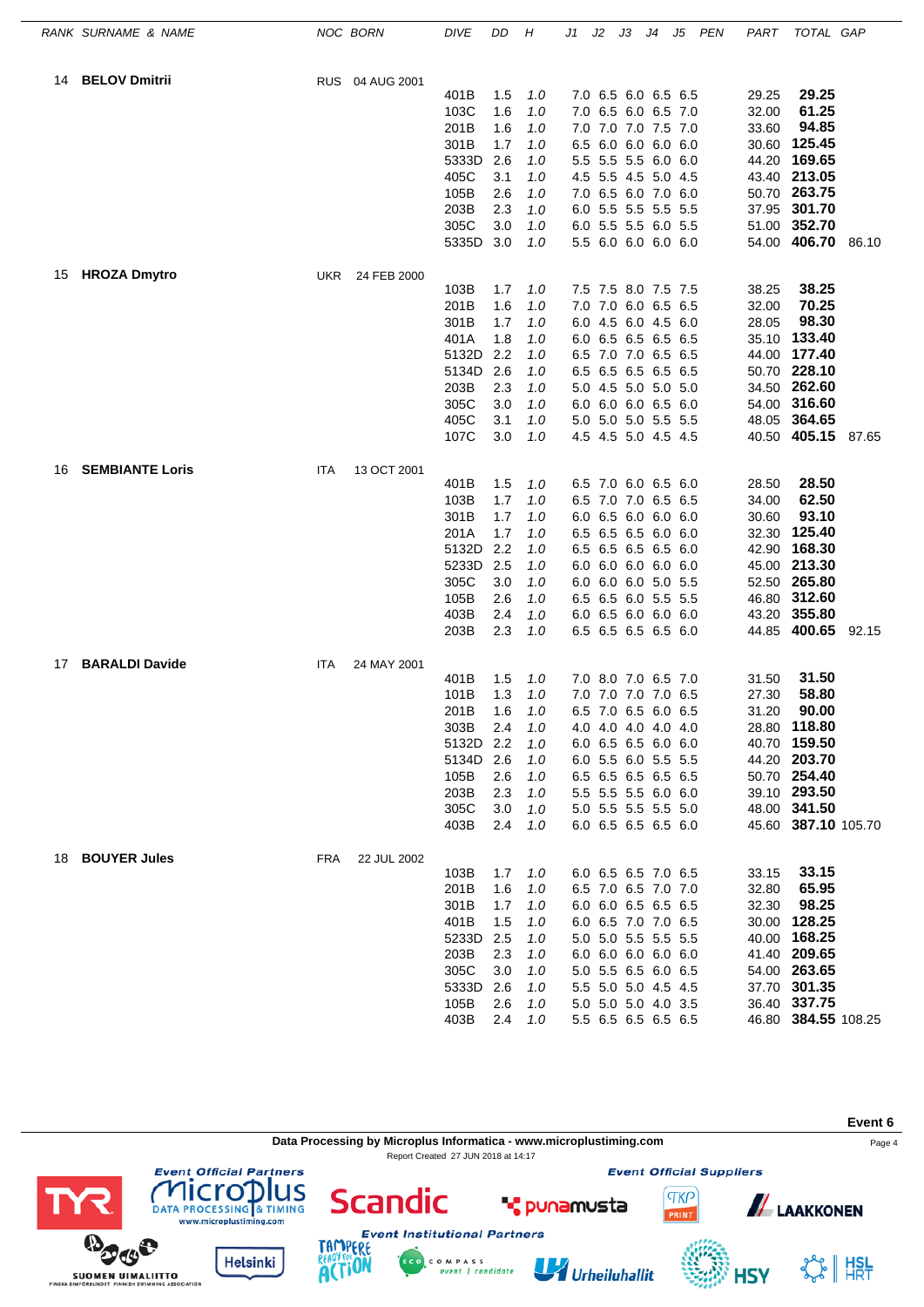|    | RANK SURNAME & NAME    |            | NOC BORN        | DIVE          | DD         | Н          | J1  | J2 | JЗ                                         | J4 | J5  | <b>PEN</b> | PART           | TOTAL GAP                    |       |
|----|------------------------|------------|-----------------|---------------|------------|------------|-----|----|--------------------------------------------|----|-----|------------|----------------|------------------------------|-------|
| 14 | <b>BELOV Dmitrii</b>   |            | RUS 04 AUG 2001 |               |            |            |     |    |                                            |    |     |            |                |                              |       |
|    |                        |            |                 | 401B          | 1.5        | 1.0        |     |    | 7.0 6.5 6.0 6.5 6.5                        |    |     |            | 29.25          | 29.25                        |       |
|    |                        |            |                 | 103C          | 1.6        | 1.0        |     |    | 7.0 6.5 6.0 6.5 7.0                        |    |     |            | 32.00          | 61.25                        |       |
|    |                        |            |                 | 201B          | 1.6        | 1.0        |     |    | 7.0 7.0 7.0 7.5 7.0                        |    |     |            | 33.60          | 94.85                        |       |
|    |                        |            |                 | 301B          | 1.7        | 1.0        |     |    | 6.5 6.0 6.0 6.0 6.0                        |    |     |            | 30.60          | 125.45                       |       |
|    |                        |            |                 | 5333D         | 2.6        | 1.0        |     |    | 5.5 5.5 5.5 6.0 6.0                        |    |     |            | 44.20          | 169.65                       |       |
|    |                        |            |                 | 405C          | 3.1        | 1.0        |     |    | 4.5 5.5 4.5 5.0 4.5                        |    |     |            |                | 43.40 213.05                 |       |
|    |                        |            |                 | 105B          | 2.6        | 1.0        |     |    | 7.0 6.5 6.0 7.0 6.0                        |    |     |            | 50.70          | 263.75                       |       |
|    |                        |            |                 | 203B          | 2.3        | 1.0        |     |    | 6.0 5.5 5.5 5.5 5.5                        |    |     |            |                | 37.95 301.70                 |       |
|    |                        |            |                 | 305C<br>5335D | 3.0<br>3.0 | 1.0<br>1.0 |     |    | 6.0 5.5 5.5 6.0 5.5<br>5.5 6.0 6.0 6.0 6.0 |    |     |            | 51.00          | 352.70<br>54.00 406.70 86.10 |       |
| 15 | <b>HROZA Dmytro</b>    | <b>UKR</b> | 24 FEB 2000     |               |            |            |     |    |                                            |    |     |            |                |                              |       |
|    |                        |            |                 | 103B          | 1.7        | 1.0        |     |    | 7.5 7.5 8.0 7.5 7.5                        |    |     |            | 38.25          | 38.25                        |       |
|    |                        |            |                 | 201B          | 1.6        | 1.0        |     |    | 7.0 7.0 6.0 6.5 6.5                        |    |     |            | 32.00          | 70.25                        |       |
|    |                        |            |                 | 301B          | 1.7        | 1.0        | 6.0 |    | 4.5 6.0 4.5                                |    | 6.0 |            | 28.05          | 98.30                        |       |
|    |                        |            |                 | 401A          | 1.8        | 1.0        |     |    | 6.0 6.5 6.5 6.5 6.5                        |    |     |            | 35.10          | 133.40                       |       |
|    |                        |            |                 | 5132D         | 2.2        | 1.0        |     |    | 6.5 7.0 7.0 6.5 6.5                        |    |     |            | 44.00          | 177.40                       |       |
|    |                        |            |                 | 5134D         | 2.6        | 1.0        |     |    | 6.5 6.5 6.5 6.5 6.5                        |    |     |            | 50.70          | 228.10                       |       |
|    |                        |            |                 | 203B          | 2.3        | 1.0        |     |    | 5.0 4.5 5.0 5.0 5.0                        |    |     |            | 34.50          | 262.60                       |       |
|    |                        |            |                 | 305C          | 3.0        | 1.0        |     |    | 6.0 6.0 6.0 6.5 6.0                        |    |     |            |                | 54.00 316.60                 |       |
|    |                        |            |                 | 405C          | 3.1        | 1.0        |     |    | 5.0 5.0 5.0 5.5 5.5                        |    |     |            | 48.05          | 364.65                       |       |
|    |                        |            |                 | 107C          | 3.0        | 1.0        |     |    | 4.5 4.5 5.0 4.5 4.5                        |    |     |            | 40.50          | 405.15 87.65                 |       |
| 16 | <b>SEMBIANTE Loris</b> | ITA        | 13 OCT 2001     |               |            |            |     |    |                                            |    |     |            |                | 28.50                        |       |
|    |                        |            |                 | 401B<br>103B  | 1.5<br>1.7 | 1.0<br>1.0 |     |    | 6.5 7.0 6.0 6.5 6.0<br>6.5 7.0 7.0 6.5 6.5 |    |     |            | 28.50<br>34.00 | 62.50                        |       |
|    |                        |            |                 | 301B          | 1.7        | 1.0        |     |    | 6.0 6.5 6.0 6.0 6.0                        |    |     |            | 30.60          | 93.10                        |       |
|    |                        |            |                 | 201A          | 1.7        | 1.0        |     |    | 6.5 6.5 6.5 6.0 6.0                        |    |     |            | 32.30          | 125.40                       |       |
|    |                        |            |                 | 5132D         | 2.2        | 1.0        |     |    | 6.5 6.5 6.5 6.0                            |    |     |            | 42.90          | 168.30                       |       |
|    |                        |            |                 | 5233D         | 2.5        | 1.0        |     |    | 6.0 6.0 6.0 6.0 6.0                        |    |     |            | 45.00          | 213.30                       |       |
|    |                        |            |                 | 305C          | 3.0        | 1.0        |     |    | 6.0 6.0 6.0 5.0 5.5                        |    |     |            |                | 52.50 265.80                 |       |
|    |                        |            |                 | 105B          | 2.6        | 1.0        |     |    | 6.5 6.5 6.0 5.5 5.5                        |    |     |            | 46.80          | 312.60                       |       |
|    |                        |            |                 | 403B          | 2.4        | 1.0        |     |    | 6.0 6.5 6.0 6.0 6.0                        |    |     |            | 43.20          | 355.80                       |       |
|    |                        |            |                 | 203B          | $2.3\,$    | 1.0        |     |    | 6.5 6.5 6.5 6.0                            |    |     |            | 44.85          | 400.65                       | 92.15 |
| 17 | <b>BARALDI Davide</b>  | ITA        | 24 MAY 2001     |               |            |            |     |    |                                            |    |     |            |                |                              |       |
|    |                        |            |                 | 401B          | 1.5        | 1.0        |     |    | 7.0 8.0 7.0 6.5 7.0                        |    |     |            | 31.50          | 31.50                        |       |
|    |                        |            |                 | 101B          | 1.3        | 1.0        |     |    | 7.0 7.0 7.0 7.0 6.5                        |    |     |            | 27.30          | 58.80                        |       |
|    |                        |            |                 | 201B          | 1.6        | 1.0        |     |    | 6.5 7.0 6.5 6.0 6.5                        |    |     |            | 31.20          | 90.00                        |       |
|    |                        |            |                 | 303B          | 2.4        | 1.0        |     |    | 4.0 4.0 4.0 4.0 4.0                        |    |     |            |                | 28.80 118.80                 |       |
|    |                        |            |                 | 5132D         | 2.2        | 1.0        |     |    | 6.0 6.5 6.5 6.0 6.0                        |    |     |            |                | 40.70 159.50                 |       |
|    |                        |            |                 | 5134D         | 2.6        | 1.0        |     |    | 6.0 5.5 6.0 5.5 5.5                        |    |     |            |                | 44.20 203.70                 |       |
|    |                        |            |                 | 105B          | 2.6        | 1.0        |     |    | 6.5 6.5 6.5 6.5 6.5                        |    |     |            |                | 50.70 254.40                 |       |
|    |                        |            |                 | 203B          | 2.3        | 1.0        |     |    | 5.5 5.5 5.5 6.0 6.0                        |    |     |            |                | 39.10 293.50<br>48.00 341.50 |       |
|    |                        |            |                 | 305C<br>403B  | 3.0<br>2.4 | 1.0<br>1.0 |     |    | 5.0 5.5 5.5 5.5 5.0<br>6.0 6.5 6.5 6.5 6.0 |    |     |            |                | 45.60 387.10 105.70          |       |
| 18 | <b>BOUYER Jules</b>    | <b>FRA</b> | 22 JUL 2002     |               |            |            |     |    |                                            |    |     |            |                |                              |       |
|    |                        |            |                 | 103B          | 1.7        | 1.0        |     |    | 6.0 6.5 6.5 7.0 6.5                        |    |     |            | 33.15          | 33.15                        |       |
|    |                        |            |                 | 201B          | 1.6        | 1.0        |     |    | 6.5 7.0 6.5 7.0 7.0                        |    |     |            | 32.80          | 65.95                        |       |
|    |                        |            |                 | 301B          | 1.7        | 1.0        |     |    | 6.0 6.0 6.5 6.5 6.5                        |    |     |            | 32.30          | 98.25                        |       |
|    |                        |            |                 | 401B          | 1.5        | 1.0        |     |    | 6.0 6.5 7.0 7.0 6.5                        |    |     |            | 30.00          | 128.25                       |       |
|    |                        |            |                 | 5233D         | 2.5        | 1.0        |     |    | 5.0 5.0 5.5 5.5 5.5                        |    |     |            |                | 40.00 168.25                 |       |
|    |                        |            |                 | 203B          | 2.3        | 1.0        |     |    | 6.0 6.0 6.0 6.0 6.0                        |    |     |            |                | 41.40 209.65                 |       |
|    |                        |            |                 | 305C          | 3.0        | 1.0        |     |    | 5.0 5.5 6.5 6.0 6.5                        |    |     |            |                | 54.00 263.65                 |       |
|    |                        |            |                 | 5333D         | 2.6        | 1.0        |     |    | 5.5 5.0 5.0 4.5 4.5                        |    |     |            |                | 37.70 301.35                 |       |
|    |                        |            |                 | 105B          | 2.6        | 1.0        |     |    | 5.0 5.0 5.0 4.0 3.5                        |    |     |            |                | 36.40 337.75                 |       |
|    |                        |            |                 | 403B          | 2.4        | 1.0        |     |    | 5.5 6.5 6.5 6.5 6.5                        |    |     |            |                | 46.80 384.55 108.25          |       |

Data Processing by Microplus Informatica - www.microplustiming.com<br>
Page 4 Report Created 27 JUN 2018 at 14:17**Event Official Partners** 

C O M P A S S<br>event | candidate

**T** punamusta

Urheiluhallit

**HSY** 

**Event Official Suppliers** 

**TKP** 



SS HISL

**Event 6**





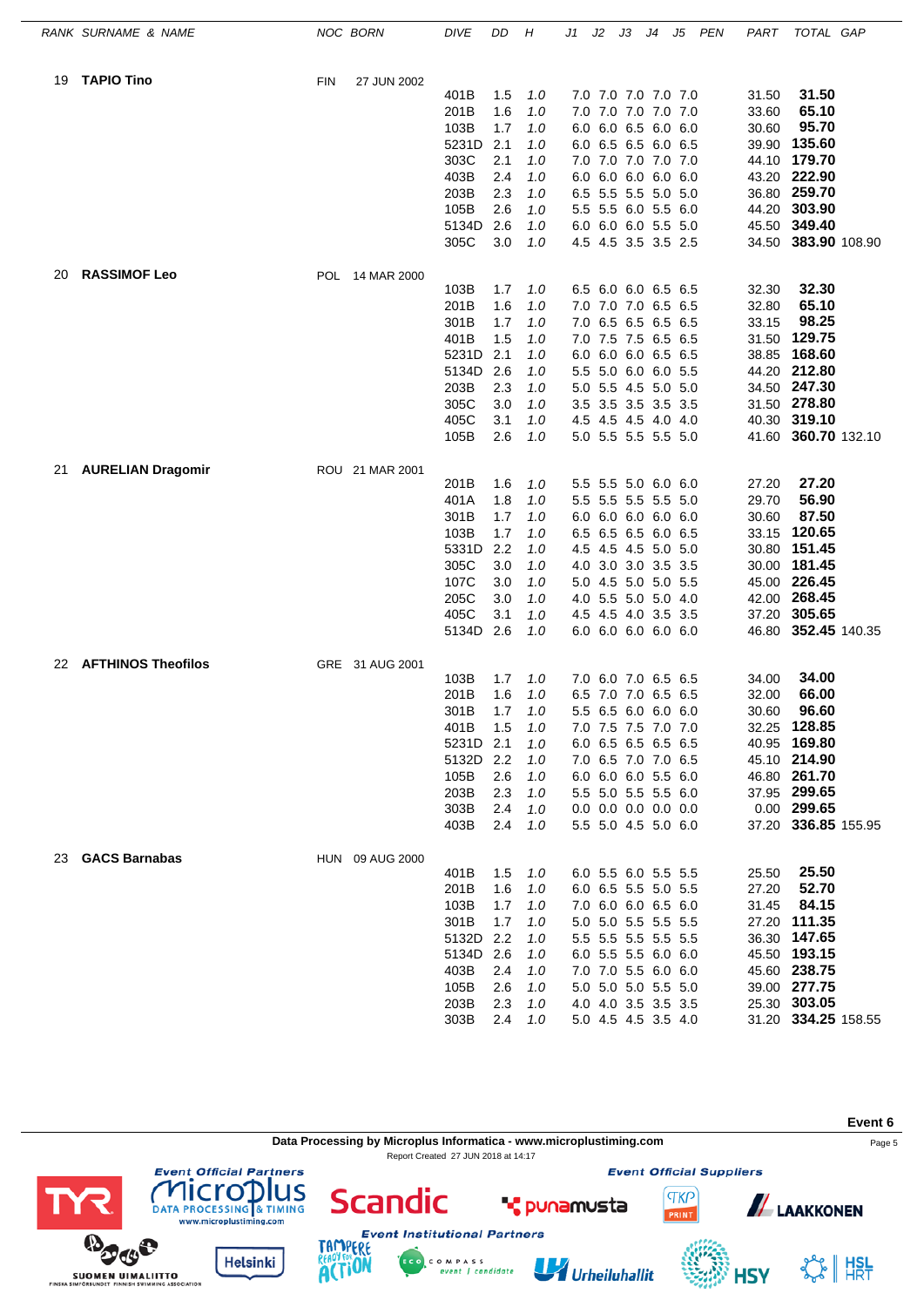|    | RANK SURNAME & NAME       | NOC BORN                  | <b>DIVE</b>       | DD         | Н          | J1  | J2 | JЗ                                         | J4 | J5 | PEN | PART  | TOTAL GAP                     |  |
|----|---------------------------|---------------------------|-------------------|------------|------------|-----|----|--------------------------------------------|----|----|-----|-------|-------------------------------|--|
| 19 | <b>TAPIO Tino</b>         | <b>FIN</b><br>27 JUN 2002 |                   |            |            |     |    |                                            |    |    |     |       |                               |  |
|    |                           |                           | 401B              | 1.5        | 1.0        |     |    | 7.0 7.0 7.0 7.0 7.0                        |    |    |     | 31.50 | 31.50                         |  |
|    |                           |                           | 201B              | 1.6        | 1.0        |     |    | 7.0 7.0 7.0 7.0 7.0                        |    |    |     | 33.60 | 65.10                         |  |
|    |                           |                           | 103B              | 1.7        | 1.0        |     |    | 6.0 6.0 6.5 6.0 6.0                        |    |    |     | 30.60 | 95.70                         |  |
|    |                           |                           | 5231D             | 2.1        | 1.0        |     |    | 6.0 6.5 6.5 6.0 6.5                        |    |    |     | 39.90 | 135.60                        |  |
|    |                           |                           | 303C              | 2.1        | 1.0        |     |    | 7.0 7.0 7.0 7.0 7.0                        |    |    |     |       | 44.10 179.70                  |  |
|    |                           |                           | 403B              | 2.4        | 1.0        |     |    | 6.0 6.0 6.0 6.0 6.0                        |    |    |     |       | 43.20 222.90                  |  |
|    |                           |                           | 203B              | 2.3        | 1.0        |     |    | 6.5 5.5 5.5 5.0 5.0                        |    |    |     |       | 36.80 259.70                  |  |
|    |                           |                           | 105B<br>5134D     | 2.6        | 1.0        |     |    | 5.5 5.5 6.0 5.5 6.0                        |    |    |     | 44.20 | 303.90                        |  |
|    |                           |                           | 305C              | 2.6<br>3.0 | 1.0<br>1.0 |     |    | 6.0 6.0 6.0 5.5 5.0<br>4.5 4.5 3.5 3.5 2.5 |    |    |     | 45.50 | 349.40<br>34.50 383.90 108.90 |  |
| 20 | <b>RASSIMOF Leo</b>       | POL 14 MAR 2000           |                   |            |            |     |    |                                            |    |    |     |       |                               |  |
|    |                           |                           | 103B              | 1.7        | 1.0        |     |    | 6.5 6.0 6.0 6.5 6.5                        |    |    |     | 32.30 | 32.30                         |  |
|    |                           |                           | 201B              | 1.6        | 1.0        |     |    | 7.0 7.0 7.0 6.5 6.5                        |    |    |     | 32.80 | 65.10                         |  |
|    |                           |                           | 301B              | 1.7        | 1.0        |     |    | 7.0 6.5 6.5 6.5 6.5                        |    |    |     | 33.15 | 98.25                         |  |
|    |                           |                           | 401B              | 1.5        | 1.0        |     |    | 7.0 7.5 7.5 6.5 6.5                        |    |    |     | 31.50 | 129.75                        |  |
|    |                           |                           | 5231D             | 2.1        | 1.0        |     |    | 6.0 6.0 6.0 6.5 6.5                        |    |    |     | 38.85 | 168.60                        |  |
|    |                           |                           | 5134D             | 2.6        | 1.0        |     |    | 5.5 5.0 6.0 6.0 5.5                        |    |    |     | 44.20 | 212.80                        |  |
|    |                           |                           | 203B              | 2.3        | 1.0        |     |    | 5.0 5.5 4.5 5.0 5.0                        |    |    |     |       | 34.50 247.30                  |  |
|    |                           |                           | 305C              | 3.0        | 1.0        |     |    | 3.5 3.5 3.5 3.5 3.5                        |    |    |     |       | 31.50 278.80                  |  |
|    |                           |                           | 405C              | 3.1        | 1.0        |     |    | 4.5 4.5 4.5 4.0 4.0                        |    |    |     |       | 40.30 319.10                  |  |
|    |                           |                           | 105B              | 2.6        | 1.0        |     |    | 5.0 5.5 5.5 5.5 5.0                        |    |    |     | 41.60 | 360.70 132.10                 |  |
| 21 | <b>AURELIAN Dragomir</b>  | ROU 21 MAR 2001           | 201B              | 1.6        | 1.0        |     |    | 5.5 5.5 5.0 6.0 6.0                        |    |    |     | 27.20 | 27.20                         |  |
|    |                           |                           | 401A              | 1.8        | 1.0        |     |    | 5.5 5.5 5.5 5.5 5.0                        |    |    |     | 29.70 | 56.90                         |  |
|    |                           |                           | 301B              | 1.7        | 1.0        |     |    | 6.0 6.0 6.0 6.0 6.0                        |    |    |     | 30.60 | 87.50                         |  |
|    |                           |                           | 103B              | 1.7        | 1.0        |     |    | 6.5 6.5 6.5 6.0 6.5                        |    |    |     | 33.15 | 120.65                        |  |
|    |                           |                           | 5331D             | 2.2        | 1.0        |     |    | 4.5 4.5 4.5 5.0 5.0                        |    |    |     | 30.80 | 151.45                        |  |
|    |                           |                           | 305C              | 3.0        | 1.0        |     |    | 4.0 3.0 3.0 3.5 3.5                        |    |    |     | 30.00 | 181.45                        |  |
|    |                           |                           | 107C              | 3.0        | 1.0        |     |    | 5.0 4.5 5.0 5.0 5.5                        |    |    |     | 45.00 | 226.45                        |  |
|    |                           |                           | 205C              | 3.0        | 1.0        |     |    | 4.0 5.5 5.0 5.0 4.0                        |    |    |     |       | 42.00 268.45                  |  |
|    |                           |                           | 405C              | 3.1        | 1.0        |     |    | 4.5 4.5 4.0 3.5 3.5                        |    |    |     | 37.20 | 305.65                        |  |
|    |                           |                           | 5134D             | 2.6        | 1.0        |     |    | 6.0 6.0 6.0 6.0 6.0                        |    |    |     |       | 46.80 352.45 140.35           |  |
| 22 | <b>AFTHINOS Theofilos</b> | GRE 31 AUG 2001           |                   |            |            |     |    |                                            |    |    |     |       |                               |  |
|    |                           |                           | 103B              | 1.7        | 1.0        |     |    | 7.0 6.0 7.0 6.5 6.5                        |    |    |     | 34.00 | 34.00                         |  |
|    |                           |                           | 201B              | 1.6        | 1.0        | 6.5 |    | 7.0 7.0 6.5 6.5                            |    |    |     | 32.00 | 66.00                         |  |
|    |                           |                           | 301B              | 1.7        | 1.0        |     |    | 5.5 6.5 6.0 6.0 6.0                        |    |    |     | 30.60 | 96.60<br>32.25 128.85         |  |
|    |                           |                           | 401B<br>5231D 2.1 | 1.5        | 1.0<br>1.0 |     |    | 7.0 7.5 7.5 7.0 7.0<br>6.0 6.5 6.5 6.5 6.5 |    |    |     |       | 40.95 169.80                  |  |
|    |                           |                           | 5132D 2.2         |            | 1.0        |     |    | 7.0 6.5 7.0 7.0 6.5                        |    |    |     |       | 45.10 214.90                  |  |
|    |                           |                           | 105B              | 2.6        | 1.0        |     |    | 6.0 6.0 6.0 5.5 6.0                        |    |    |     |       | 46.80 261.70                  |  |
|    |                           |                           | 203B              | 2.3        | 1.0        |     |    | 5.5 5.0 5.5 5.5 6.0                        |    |    |     |       | 37.95 299.65                  |  |
|    |                           |                           | 303B              | 2.4        | 1.0        |     |    | $0.0$ 0.0 0.0 0.0 0.0                      |    |    |     |       | 0.00 299.65                   |  |
|    |                           |                           | 403B              | 2.4        | 1.0        |     |    | 5.5 5.0 4.5 5.0 6.0                        |    |    |     |       | 37.20 336.85 155.95           |  |
| 23 | <b>GACS Barnabas</b>      | HUN 09 AUG 2000           |                   |            |            |     |    |                                            |    |    |     |       |                               |  |
|    |                           |                           | 401B              | 1.5        | 1.0        |     |    | 6.0 5.5 6.0 5.5 5.5                        |    |    |     | 25.50 | 25.50                         |  |
|    |                           |                           | 201B              | 1.6        | 1.0        |     |    | 6.0 6.5 5.5 5.0 5.5                        |    |    |     | 27.20 | 52.70                         |  |
|    |                           |                           | 103B              | 1.7        | 1.0        |     |    | 7.0 6.0 6.0 6.5 6.0                        |    |    |     | 31.45 | 84.15                         |  |
|    |                           |                           | 301B              | 1.7        | 1.0        |     |    | 5.0 5.0 5.5 5.5 5.5                        |    |    |     |       | 27.20 111.35                  |  |
|    |                           |                           | 5132D             | 2.2        | 1.0        |     |    | 5.5 5.5 5.5 5.5 5.5                        |    |    |     |       | 36.30 147.65                  |  |
|    |                           |                           | 5134D             | 2.6        | 1.0        |     |    | 6.0 5.5 5.5 6.0 6.0                        |    |    |     |       | 45.50 193.15                  |  |
|    |                           |                           | 403B              | 2.4        | 1.0        |     |    | 7.0 7.0 5.5 6.0 6.0                        |    |    |     |       | 45.60 238.75                  |  |
|    |                           |                           | 105B              | 2.6        | 1.0        |     |    | 5.0 5.0 5.0 5.5 5.0                        |    |    |     |       | 39.00 277.75<br>25.30 303.05  |  |
|    |                           |                           | 203B<br>303B      | 2.3<br>2.4 | 1.0<br>1.0 |     |    | 4.0 4.0 3.5 3.5 3.5<br>5.0 4.5 4.5 3.5 4.0 |    |    |     |       | 31.20 334.25 158.55           |  |
|    |                           |                           |                   |            |            |     |    |                                            |    |    |     |       |                               |  |

**Data Processing by Microplus Informatica - www.microplustiming.com** Page 5

C O M P A S S<br>event | candidate

**\*** punamusta

Urheiluhallit

Report Created 27 JUN 2018 at 14:17

**Event 6**

**ALAAKKONEN** 

**HSY** 

☆ | #SL

**Event Official Suppliers** 

**TKP** 







**Scandic**